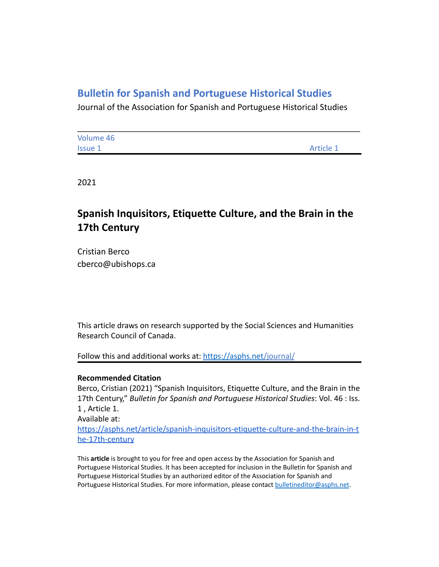## **Bulletin for Spanish and Portuguese Historical Studies**

Journal of the Association for Spanish and Portuguese Historical Studies

| Volume 46      |           |
|----------------|-----------|
| <b>Issue 1</b> | Article 1 |

2021

# **Spanish Inquisitors, Etiquette Culture, and the Brain in the 17th Century**

Cristian Berco cberco@ubishops.ca

This article draws on research supported by the Social Sciences and Humanities Research Council of Canada.

Follow this and additional works at: <https://asphs.net/journal/>

### **Recommended Citation**

Berco, Cristian (2021) "Spanish Inquisitors, Etiquette Culture, and the Brain in the 17th Century," *Bulletin for Spanish and Portuguese Historical Studies*: Vol. 46 : Iss. 1 , Article 1. Available at: [https://asphs.net/article/spanish-inquisitors-etiquette-culture-and-the-brain-in-t](https://asphs.net/article/spanish-inquisitors-etiquette-culture-and-the-brain-in-the-17th-century) [he-17th-century](https://asphs.net/article/spanish-inquisitors-etiquette-culture-and-the-brain-in-the-17th-century)

This **article** is brought to you for free and open access by the Association for Spanish and Portuguese Historical Studies. It has been accepted for inclusion in the Bulletin for Spanish and Portuguese Historical Studies by an authorized editor of the Association for Spanish and Portuguese Historical Studies. For more information, please contact [bulletineditor@asphs.net](mailto:bulletineditor@asphs.net).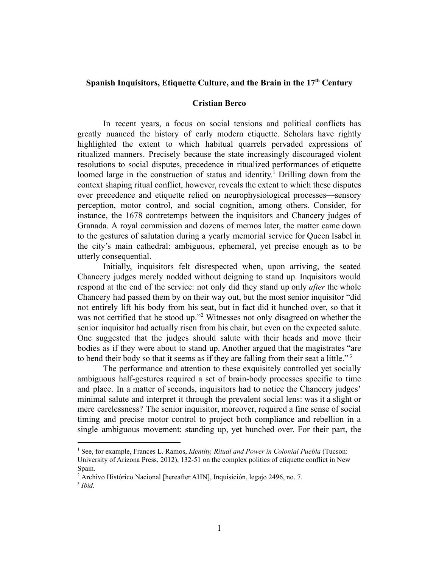#### **Spanish Inquisitors, Etiquette Culture, and the Brain in the 17th Century**

#### **Cristian Berco**

In recent years, a focus on social tensions and political conflicts has greatly nuanced the history of early modern etiquette. Scholars have rightly highlighted the extent to which habitual quarrels pervaded expressions of ritualized manners. Precisely because the state increasingly discouraged violent resolutions to social disputes, precedence in ritualized performances of etiquette loomed large in the construction of status and identity.<sup>1</sup> Drilling down from the context shaping ritual conflict, however, reveals the extent to which these disputes over precedence and etiquette relied on neurophysiological processes—sensory perception, motor control, and social cognition, among others. Consider, for instance, the 1678 contretemps between the inquisitors and Chancery judges of Granada. A royal commission and dozens of memos later, the matter came down to the gestures of salutation during a yearly memorial service for Queen Isabel in the city's main cathedral: ambiguous, ephemeral, yet precise enough as to be utterly consequential.

Initially, inquisitors felt disrespected when, upon arriving, the seated Chancery judges merely nodded without deigning to stand up. Inquisitors would respond at the end of the service: not only did they stand up only *after* the whole Chancery had passed them by on their way out, but the most senior inquisitor "did not entirely lift his body from his seat, but in fact did it hunched over, so that it was not certified that he stood up."<sup>2</sup> Witnesses not only disagreed on whether the senior inquisitor had actually risen from his chair, but even on the expected salute. One suggested that the judges should salute with their heads and move their bodies as if they were about to stand up. Another argued that the magistrates "are to bend their body so that it seems as if they are falling from their seat a little."<sup>3</sup>

The performance and attention to these exquisitely controlled yet socially ambiguous half-gestures required a set of brain-body processes specific to time and place. In a matter of seconds, inquisitors had to notice the Chancery judges' minimal salute and interpret it through the prevalent social lens: was it a slight or mere carelessness? The senior inquisitor, moreover, required a fine sense of social timing and precise motor control to project both compliance and rebellion in a single ambiguous movement: standing up, yet hunched over. For their part, the

<sup>1</sup> See, for example, Frances L. Ramos, *Identity, Ritual and Power in Colonial Puebla* (Tucson: University of Arizona Press, 2012), 132-51 on the complex politics of etiquette conflict in New Spain.

<sup>2</sup> Archivo Histórico Nacional [hereafter AHN], Inquisición, legajo 2496, no. 7.

<sup>3</sup> *Ibid.*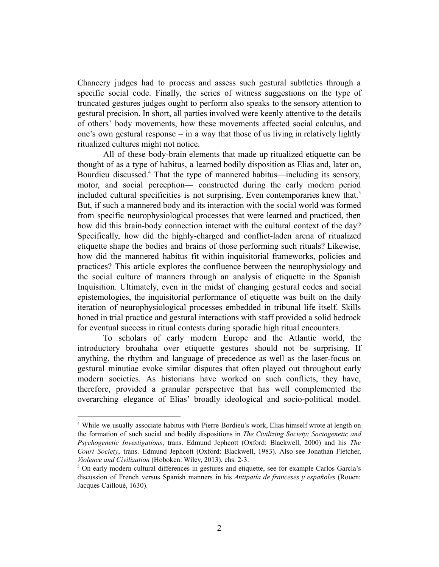Chancery judges had to process and assess such gestural subtleties through a specific social code. Finally, the series of witness suggestions on the type of truncated gestures judges ought to perform also speaks to the sensory attention to gestural precision. In short, all parties involved were keenly attentive to the details of others' body movements, how these movements affected social calculus, and one's own gestural response – in a way that those of us living in relatively lightly ritualized cultures might not notice.

All of these body-brain elements that made up ritualized etiquette can be thought of as a type of habitus, a learned bodily disposition as Elias and, later on, Bourdieu discussed.<sup>4</sup> That the type of mannered habitus—including its sensory, motor, and social perception— constructed during the early modern period included cultural specificities is not surprising. Even contemporaries knew that.<sup>5</sup> But, if such a mannered body and its interaction with the social world was formed from specific neurophysiological processes that were learned and practiced, then how did this brain-body connection interact with the cultural context of the day? Specifically, how did the highly-charged and conflict-laden arena of ritualized etiquette shape the bodies and brains of those performing such rituals? Likewise, how did the mannered habitus fit within inquisitorial frameworks, policies and practices? This article explores the confluence between the neurophysiology and the social culture of manners through an analysis of etiquette in the Spanish Inquisition. Ultimately, even in the midst of changing gestural codes and social epistemologies, the inquisitorial performance of etiquette was built on the daily iteration of neurophysiological processes embedded in tribunal life itself. Skills honed in trial practice and gestural interactions with staff provided a solid bedrock for eventual success in ritual contests during sporadic high ritual encounters.

To scholars of early modern Europe and the Atlantic world, the introductory brouhaha over etiquette gestures should not be surprising. If anything, the rhythm and language of precedence as well as the laser-focus on gestural minutiae evoke similar disputes that often played out throughout early modern societies. As historians have worked on such conflicts, they have, therefore, provided a granular perspective that has well complemented the overarching elegance of Elias' broadly ideological and socio-political model.

<sup>4</sup> While we usually associate habitus with Pierre Bordieu's work, Elias himself wrote at length on the formation of such social and bodily dispositions in *The Civilizing Society: Sociogenetic and Psychogenetic Investigations*, trans. Edmund Jephcott (Oxford: Blackwell, 2000) and his *The Court Society*, trans. Edmund Jephcott (Oxford: Blackwell, 1983). Also see Jonathan Fletcher, *Violence and Civilization* (Hoboken: Wiley, 2013), chs. 2-3.

 $<sup>5</sup>$  On early modern cultural differences in gestures and etiquette, see for example Carlos García's</sup> discussion of French versus Spanish manners in his *Antipatía de franceses y españoles* (Rouen: Jacques Cailloué, 1630).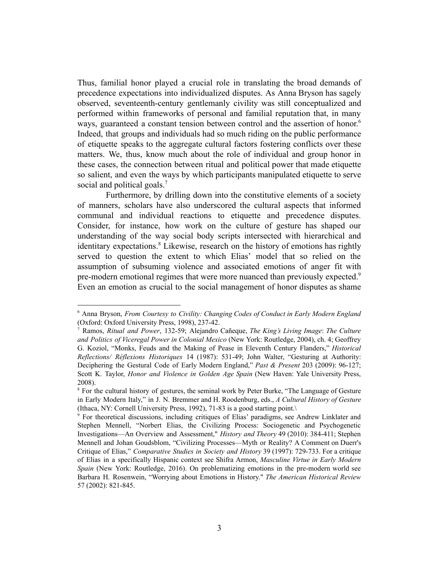Thus, familial honor played a crucial role in translating the broad demands of precedence expectations into individualized disputes. As Anna Bryson has sagely observed, seventeenth-century gentlemanly civility was still conceptualized and performed within frameworks of personal and familial reputation that, in many ways, guaranteed a constant tension between control and the assertion of honor.<sup>6</sup> Indeed, that groups and individuals had so much riding on the public performance of etiquette speaks to the aggregate cultural factors fostering conflicts over these matters. We, thus, know much about the role of individual and group honor in these cases, the connection between ritual and political power that made etiquette so salient, and even the ways by which participants manipulated etiquette to serve social and political goals.<sup>7</sup>

Furthermore, by drilling down into the constitutive elements of a society of manners, scholars have also underscored the cultural aspects that informed communal and individual reactions to etiquette and precedence disputes. Consider, for instance, how work on the culture of gesture has shaped our understanding of the way social body scripts intersected with hierarchical and identitary expectations.<sup>8</sup> Likewise, research on the history of emotions has rightly served to question the extent to which Elias' model that so relied on the assumption of subsuming violence and associated emotions of anger fit with pre-modern emotional regimes that were more nuanced than previously expected.<sup>9</sup> Even an emotion as crucial to the social management of honor disputes as shame

<sup>6</sup> Anna Bryson, *From Courtesy to Civility: Changing Codes of Conduct in Early Modern England* (Oxford: Oxford University Press, 1998), 237-42.

<sup>7</sup> Ramos, *Ritual and Power*, 132-59; Alejandro Cañeque, *The King's Living Image*: *The Culture and Politics of Viceregal Power in Colonial Mexico* (New York: Routledge, 2004), ch. 4; Geoffrey G. Koziol, "Monks, Feuds and the Making of Pease in Eleventh Century Flanders," *Historical Reflections/ Réflexions Historiques* 14 (1987): 531-49; John Walter, "Gesturing at Authority: Deciphering the Gestural Code of Early Modern England," *Past & Present* 203 (2009): 96-127; Scott K. Taylor, *Honor and Violence in Golden Age Spain* (New Haven: Yale University Press, 2008).

<sup>&</sup>lt;sup>8</sup> For the cultural history of gestures, the seminal work by Peter Burke, "The Language of Gesture" in Early Modern Italy," in J. N. Bremmer and H. Roodenburg, eds., *A Cultural History of Gesture* (Ithaca, NY: Cornell University Press, 1992), 71-83 is a good starting point.\

<sup>9</sup> For theoretical discussions, including critiques of Elias' paradigms, see Andrew Linklater and Stephen Mennell, "Norbert Elias, the Civilizing Process: Sociogenetic and Psychogenetic Investigations—An Overview and Assessment," *History and Theory* 49 (2010): 384-411; Stephen Mennell and Johan Goudsblom, "Civilizing Processes—Myth or Reality? A Comment on Duerr's Critique of Elias," *Comparative Studies in Society and History* 39 (1997): 729-733. For a critique of Elias in a specifically Hispanic context see Shifra Armon, *Masculine Virtue in Early Modern Spain* (New York: Routledge, 2016). On problematizing emotions in the pre-modern world see Barbara H. Rosenwein, "Worrying about Emotions in History." *The American Historical Review* 57 (2002): 821-845.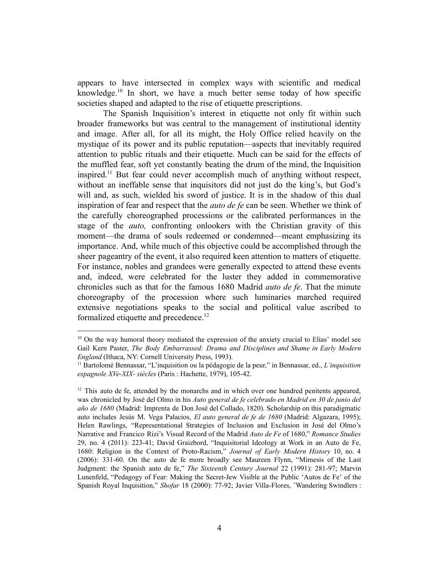appears to have intersected in complex ways with scientific and medical knowledge.<sup>10</sup> In short, we have a much better sense today of how specific societies shaped and adapted to the rise of etiquette prescriptions.

The Spanish Inquisition's interest in etiquette not only fit within such broader frameworks but was central to the management of institutional identity and image. After all, for all its might, the Holy Office relied heavily on the mystique of its power and its public reputation—aspects that inevitably required attention to public rituals and their etiquette. Much can be said for the effects of the muffled fear, soft yet constantly beating the drum of the mind, the Inquisition inspired.<sup>11</sup> But fear could never accomplish much of anything without respect, without an ineffable sense that inquisitors did not just do the king's, but God's will and, as such, wielded his sword of justice. It is in the shadow of this dual inspiration of fear and respect that the *auto de fe* can be seen. Whether we think of the carefully choreographed processions or the calibrated performances in the stage of the *auto,* confronting onlookers with the Christian gravity of this moment—the drama of souls redeemed or condemned—meant emphasizing its importance. And, while much of this objective could be accomplished through the sheer pageantry of the event, it also required keen attention to matters of etiquette. For instance, nobles and grandees were generally expected to attend these events and, indeed, were celebrated for the luster they added in commemorative chronicles such as that for the famous 1680 Madrid *auto de fe*. That the minute choreography of the procession where such luminaries marched required extensive negotiations speaks to the social and political value ascribed to formalized etiquette and precedence.<sup>12</sup>

 $10$  On the way humoral theory mediated the expression of the anxiety crucial to Elias' model see Gail Kern Paster, *The Body Embarrassed: Drama and Disciplines and Shame in Early Modern England* (Ithaca, NY: Cornell University Press, 1993).

<sup>11</sup> Bartolomé Bennassar, "L'inquisition ou la pédagogie de la peur," in Bennassar, ed., *L'inquisition espagnole XVe-XIX- siècles* (Paris : Hachette, 1979), 105-42.

 $12$  This auto de fe, attended by the monarchs and in which over one hundred penitents appeared, was chronicled by José del Olmo in his *Auto general de fe celebrado en Madrid en 30 de junio del año de 1680* (Madrid: Imprenta de Don José del Collado, 1820). Scholarship on this paradigmatic auto includes Jesús M. Vega Palacios, *El auto general de fe de 1680* (Madrid: Algazara, 1995); Helen Rawlings, "Representational Strategies of Inclusion and Exclusion in José del Olmo's Narrative and Francico Rizi's Visual Record of the Madrid *Auto de Fe* of 1680," *Romance Studies* 29, no. 4 (2011): 223-41; David Graizbord, "Inquisitorial Ideology at Work in an Auto de Fe, 1680: Religion in the Context of Proto-Racism," *Journal of Early Modern History* 10, no. 4 (2006): 331-60. On the auto de fe more broadly see Maureen Flynn, "Mimesis of the Last Judgment: the Spanish auto de fe," *The Sixteenth Century Journal* 22 (1991): 281-97; Marvin Lunenfeld, "Pedagogy of Fear: Making the Secret-Jew Visible at the Public 'Autos de Fe' of the Spanish Royal Inquisition," *Shofar* 18 (2000): 77-92; Javier Villa-Flores, ˝Wandering Swindlers :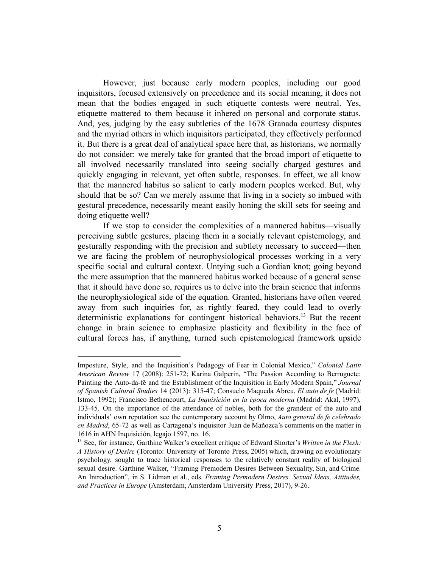However, just because early modern peoples, including our good inquisitors, focused extensively on precedence and its social meaning, it does not mean that the bodies engaged in such etiquette contests were neutral. Yes, etiquette mattered to them because it inhered on personal and corporate status. And, yes, judging by the easy subtleties of the 1678 Granada courtesy disputes and the myriad others in which inquisitors participated, they effectively performed it. But there is a great deal of analytical space here that, as historians, we normally do not consider: we merely take for granted that the broad import of etiquette to all involved necessarily translated into seeing socially charged gestures and quickly engaging in relevant, yet often subtle, responses. In effect, we all know that the mannered habitus so salient to early modern peoples worked. But, why should that be so? Can we merely assume that living in a society so imbued with gestural precedence, necessarily meant easily honing the skill sets for seeing and doing etiquette well?

If we stop to consider the complexities of a mannered habitus—visually perceiving subtle gestures, placing them in a socially relevant epistemology, and gesturally responding with the precision and subtlety necessary to succeed—then we are facing the problem of neurophysiological processes working in a very specific social and cultural context. Untying such a Gordian knot; going beyond the mere assumption that the mannered habitus worked because of a general sense that it should have done so, requires us to delve into the brain science that informs the neurophysiological side of the equation. Granted, historians have often veered away from such inquiries for, as rightly feared, they could lead to overly deterministic explanations for contingent historical behaviors.<sup>13</sup> But the recent change in brain science to emphasize plasticity and flexibility in the face of cultural forces has, if anything, turned such epistemological framework upside

Imposture, Style, and the Inquisition's Pedagogy of Fear in Colonial Mexico," *Colonial Latin American Review* 17 (2008): 251-72; Karina Galperin, "The Passion According to Berruguete: Painting the Auto-da-fé and the Establishment of the Inquisition in Early Modern Spain," *Journal of Spanish Cultural Studies* 14 (2013): 315-47; Consuelo Maqueda Abreu, *El auto de fe* (Madrid: Istmo, 1992); Francisco Bethencourt, *La Inquisición en la época moderna* (Madrid: Akal, 1997), 133-45. On the importance of the attendance of nobles, both for the grandeur of the auto and individuals' own reputation see the contemporary account by Olmo, *Auto general de fe celebrado en Madrid*, 65-72 as well as Cartagena's inquisitor Juan de Mañozca's comments on the matter in 1616 in AHN Inquisición, legajo 1597, no. 16.

<sup>13</sup> See, for instance, Garthine Walker's excellent critique of Edward Shorter's *Written in the Flesh: A History of Desire* (Toronto: University of Toronto Press, 2005) which, drawing on evolutionary psychology, sought to trace historical responses to the relatively constant reality of biological sexual desire. Garthine Walker, "Framing Premodern Desires Between Sexuality, Sin, and Crime. An Introduction", in S. Lidman et al., eds. *Framing Premodern Desires. Sexual Ideas, Attitudes, and Practices in Europe* (Amsterdam, Amsterdam University Press, 2017), 9-26.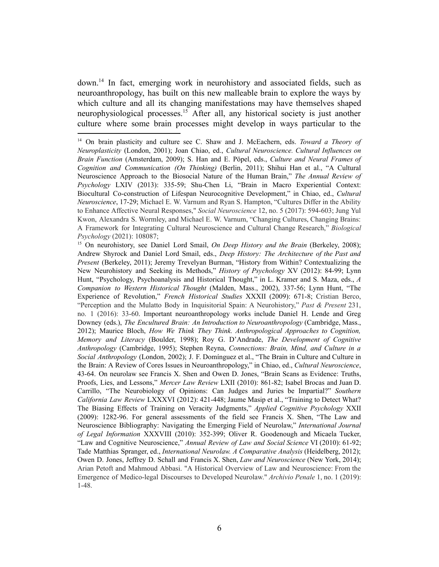$down<sup>14</sup>$  In fact, emerging work in neurohistory and associated fields, such as neuroanthropology, has built on this new malleable brain to explore the ways by which culture and all its changing manifestations may have themselves shaped neurophysiological processes.<sup>15</sup> After all, any historical society is just another culture where some brain processes might develop in ways particular to the

<sup>14</sup> On brain plasticity and culture see C. Shaw and J. McEachern, eds. *Toward a Theory of Neuroplasticity* (London, 2001); Joan Chiao, ed., *Cultural Neuroscience. Cultural Influences on Brain Function* (Amsterdam, 2009); S. Han and E. Pöpel, eds., *Culture and Neural Frames of Cognition and Communication (On Thinking)* (Berlin, 2011); Shihui Han et al., "A Cultural Neuroscience Approach to the Biosocial Nature of the Human Brain," *The Annual Review of Psychology* LXIV (2013): 335-59; Shu-Chen Li, "Brain in Macro Experiential Context: Biocultural Co-construction of Lifespan Neurocognitive Development," in Chiao, ed., *Cultural Neuroscience*, 17-29; Michael E. W. Varnum and Ryan S. Hampton, "Cultures Differ in the Ability to Enhance Affective Neural Responses," *Social Neuroscience* 12, no. 5 (2017): 594-603; Jung Yul Kwon, Alexandra S. Wormley, and Michael E. W. Varnum, "Changing Cultures, Changing Brains: A Framework for Integrating Cultural Neuroscience and Cultural Change Research," *Biological Psychology* (2021): 108087;

<sup>15</sup> On neurohistory, see Daniel Lord Smail, *On Deep History and the Brain* (Berkeley, 2008); Andrew Shyrock and Daniel Lord Smail, eds., *Deep History: The Architecture of the Past and Present* (Berkeley, 2011); Jeremy Trevelyan Burman, "History from Within? Contextualizing the New Neurohistory and Seeking its Methods," *History of Psychology* XV (2012): 84-99; Lynn Hunt, "Psychology, Psychoanalysis and Historical Thought," in L. Kramer and S. Maza, eds., *A Companion to Western Historical Thought* (Malden, Mass., 2002), 337-56; Lynn Hunt, "The Experience of Revolution," *French Historical Studies* XXXII (2009): 671-8; Cristian Berco, "Perception and the Mulatto Body in Inquisitorial Spain: A Neurohistory," *Past & Present* 231, no. 1 (2016): 33-60. Important neuroanthropology works include Daniel H. Lende and Greg Downey (eds.), *The Encultured Brain: An Introduction to Neuroanthropology* (Cambridge, Mass., 2012); Maurice Bloch, *How We Think They Think. Anthropological Approaches to Cognition, Memory and Literacy* (Boulder, 1998); Roy G. D'Andrade, *The Development of Cognitive Anthropology* (Cambridge, 1995); Stephen Reyna, *Connections: Brain, Mind, and Culture in a Social Anthropology* (London, 2002); J. F. Domínguez et al., "The Brain in Culture and Culture in the Brain: A Review of Cores Issues in Neuroanthropology," in Chiao, ed., *Cultural Neuroscience*, 43-64. On neurolaw see Francis X. Shen and Owen D. Jones, "Brain Scans as Evidence: Truths, Proofs, Lies, and Lessons," *Mercer Law Review* LXII (2010): 861-82; Isabel Brocas and Juan D. Carrillo, "The Neurobiology of Opinions: Can Judges and Juries be Impartial?" *Southern California Law Review* LXXXVI (2012): 421-448; Jaume Masip et al., "Training to Detect What? The Biasing Effects of Training on Veracity Judgments," *Applied Cognitive Psychology* XXII (2009): 1282-96. For general assessments of the field see Francis X. Shen, "The Law and Neuroscience Bibliography: Navigating the Emerging Field of Neurolaw," *International Journal of Legal Information* XXXVIII (2010): 352-399; Oliver R. Goodenough and Micaela Tucker, "Law and Cognitive Neuroscience," *Annual Review of Law and Social Science* VI (2010): 61-92; Tade Matthias Spranger, ed., *International Neurolaw. A Comparative Analysis* (Heidelberg, 2012); Owen D. Jones, Jeffrey D. Schall and Francis X. Shen, *Law and Neuroscience* (New York, 2014); Arian Petoft and Mahmoud Abbasi. "A Historical Overview of Law and Neuroscience: From the Emergence of Medico-legal Discourses to Developed Neurolaw." *Archivio Penale* 1, no. 1 (2019): 1-48.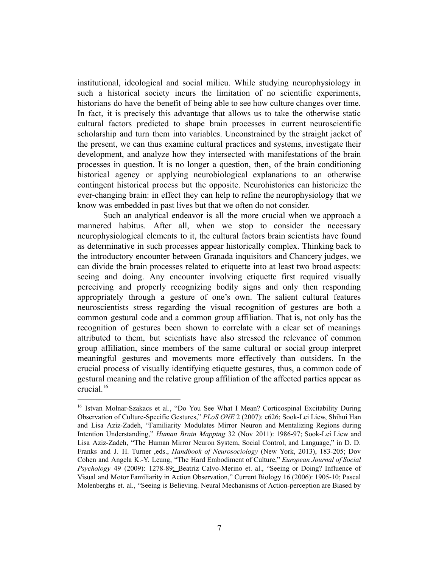institutional, ideological and social milieu. While studying neurophysiology in such a historical society incurs the limitation of no scientific experiments, historians do have the benefit of being able to see how culture changes over time. In fact, it is precisely this advantage that allows us to take the otherwise static cultural factors predicted to shape brain processes in current neuroscientific scholarship and turn them into variables. Unconstrained by the straight jacket of the present, we can thus examine cultural practices and systems, investigate their development, and analyze how they intersected with manifestations of the brain processes in question. It is no longer a question, then, of the brain conditioning historical agency or applying neurobiological explanations to an otherwise contingent historical process but the opposite. Neurohistories can historicize the ever-changing brain: in effect they can help to refine the neurophysiology that we know was embedded in past lives but that we often do not consider.

Such an analytical endeavor is all the more crucial when we approach a mannered habitus. After all, when we stop to consider the necessary neurophysiological elements to it, the cultural factors brain scientists have found as determinative in such processes appear historically complex. Thinking back to the introductory encounter between Granada inquisitors and Chancery judges, we can divide the brain processes related to etiquette into at least two broad aspects: seeing and doing. Any encounter involving etiquette first required visually perceiving and properly recognizing bodily signs and only then responding appropriately through a gesture of one's own. The salient cultural features neuroscientists stress regarding the visual recognition of gestures are both a common gestural code and a common group affiliation. That is, not only has the recognition of gestures been shown to correlate with a clear set of meanings attributed to them, but scientists have also stressed the relevance of common group affiliation, since members of the same cultural or social group interpret meaningful gestures and movements more effectively than outsiders. In the crucial process of visually identifying etiquette gestures, thus, a common code of gestural meaning and the relative group affiliation of the affected parties appear as crucial.<sup>16</sup>

<sup>&</sup>lt;sup>16</sup> Istvan Molnar-Szakacs et al., "Do You See What I Mean? Corticospinal Excitability During Observation of Culture-Specific Gestures," *PLoS ONE* 2 (2007): e626; Sook-Lei Liew, Shihui Han and Lisa Aziz-Zadeh, "Familiarity Modulates Mirror Neuron and Mentalizing Regions during Intention Understanding," *Human Brain Mapping* 32 (Nov 2011): 1986-97; Sook-Lei Liew and Lisa Aziz-Zadeh, "The Human Mirror Neuron System, Social Control, and Language," in D. D. Franks and J. H. Turner ,eds., *Handbook of Neurosociology* (New York, 2013), 183-205; Dov Cohen and Angela K.-Y. Leung, "The Hard Embodiment of Culture," *European Journal of Social* Psychology 49 (2009): 1278-89; Beatriz Calvo-Merino et. al., "Seeing or Doing? Influence of Visual and Motor Familiarity in Action Observation," Current Biology 16 (2006): 1905-10; Pascal Molenberghs et. al., "Seeing is Believing. Neural Mechanisms of Action-perception are Biased by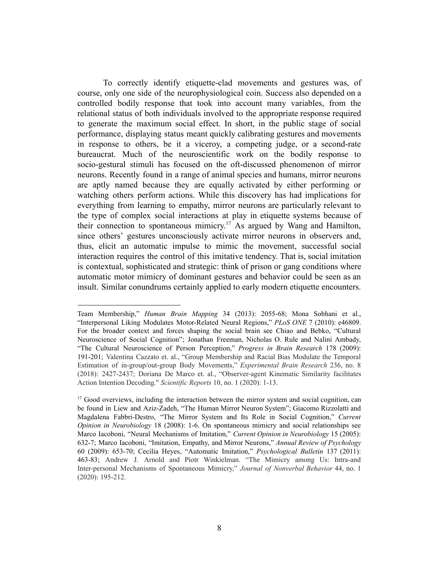To correctly identify etiquette-clad movements and gestures was, of course, only one side of the neurophysiological coin. Success also depended on a controlled bodily response that took into account many variables, from the relational status of both individuals involved to the appropriate response required to generate the maximum social effect. In short, in the public stage of social performance, displaying status meant quickly calibrating gestures and movements in response to others, be it a viceroy, a competing judge, or a second-rate bureaucrat. Much of the neuroscientific work on the bodily response to socio-gestural stimuli has focused on the oft-discussed phenomenon of mirror neurons. Recently found in a range of animal species and humans, mirror neurons are aptly named because they are equally activated by either performing or watching others perform actions. While this discovery has had implications for everything from learning to empathy, mirror neurons are particularly relevant to the type of complex social interactions at play in etiquette systems because of their connection to spontaneous mimicry.<sup>17</sup> As argued by Wang and Hamilton, since others' gestures unconsciously activate mirror neurons in observers and, thus, elicit an automatic impulse to mimic the movement, successful social interaction requires the control of this imitative tendency. That is, social imitation is contextual, sophisticated and strategic: think of prison or gang conditions where automatic motor mimicry of dominant gestures and behavior could be seen as an insult. Similar conundrums certainly applied to early modern etiquette encounters.

Team Membership," *Human Brain Mapping* 34 (2013): 2055-68; Mona Sobhani et al., "Interpersonal Liking Modulates Motor-Related Neural Regions," *PLoS ONE* 7 (2010): e46809. For the broader context and forces shaping the social brain see Chiao and Bebko, "Cultural Neuroscience of Social Cognition"; Jonathan Freeman, Nicholas O. Rule and Nalini Ambady, "The Cultural Neuroscience of Person Perception," *Progress in Brain Research* 178 (2009): 191-201; Valentina Cazzato et. al., "Group Membership and Racial Bias Modulate the Temporal Estimation of in-group/out-group Body Movements," *Experimental Brain Research* 236, no. 8 (2018): 2427-2437; Doriana De Marco et. al., "Observer-agent Kinematic Similarity facilitates Action Intention Decoding." *Scientific Reports* 10, no. 1 (2020): 1-13.

 $17$  Good overviews, including the interaction between the mirror system and social cognition, can be found in Liew and Aziz-Zadeh, "The Human Mirror Neuron System"; Giacomo Rizzolatti and Magdalena Fabbri-Destro, "The Mirror System and Its Role in Social Cognition," *Current Opinion in Neurobiology* 18 (2008): 1-6. On spontaneous mimicry and social relationships see Marco Iacoboni, "Neural Mechanisms of Imitation," *Current Opinion in Neurobiology* 15 (2005): 632-7; Marco Iacoboni, "Imitation, Empathy, and Mirror Neurons," *Annual Review of Psychology* 60 (2009): 653-70; Cecilia Heyes, "Automatic Imitation," *Psychological Bulletin* 137 (2011): 463-83; Andrew J. Arnold and Piotr Winkielman. "The Mimicry among Us: Intra-and Inter-personal Mechanisms of Spontaneous Mimicry," *Journal of Nonverbal Behavior* 44, no. 1 (2020): 195-212.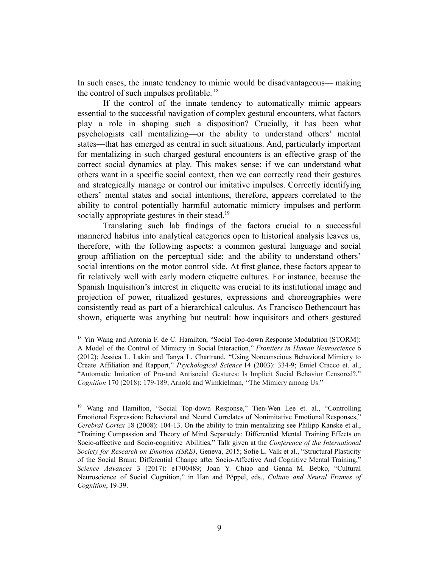In such cases, the innate tendency to mimic would be disadvantageous— making the control of such impulses profitable.<sup>18</sup>

If the control of the innate tendency to automatically mimic appears essential to the successful navigation of complex gestural encounters, what factors play a role in shaping such a disposition? Crucially, it has been what psychologists call mentalizing—or the ability to understand others' mental states—that has emerged as central in such situations. And, particularly important for mentalizing in such charged gestural encounters is an effective grasp of the correct social dynamics at play. This makes sense: if we can understand what others want in a specific social context, then we can correctly read their gestures and strategically manage or control our imitative impulses. Correctly identifying others' mental states and social intentions, therefore, appears correlated to the ability to control potentially harmful automatic mimicry impulses and perform socially appropriate gestures in their stead.<sup>19</sup>

Translating such lab findings of the factors crucial to a successful mannered habitus into analytical categories open to historical analysis leaves us, therefore, with the following aspects: a common gestural language and social group affiliation on the perceptual side; and the ability to understand others' social intentions on the motor control side. At first glance, these factors appear to fit relatively well with early modern etiquette cultures. For instance, because the Spanish Inquisition's interest in etiquette was crucial to its institutional image and projection of power, ritualized gestures, expressions and choreographies were consistently read as part of a hierarchical calculus. As Francisco Bethencourt has shown, etiquette was anything but neutral: how inquisitors and others gestured

<sup>&</sup>lt;sup>18</sup> Yin Wang and Antonia F. de C. Hamilton, "Social Top-down Response Modulation (STORM): A Model of the Control of Mimicry in Social Interaction," *Frontiers in Human Neuroscience* 6 (2012); Jessica L. Lakin and Tanya L. Chartrand, "Using Nonconscious Behavioral Mimicry to Create Affiliation and Rapport," *Psychological Science* 14 (2003): 334-9; Emiel Cracco et. al., "Automatic Imitation of Pro-and Antisocial Gestures: Is Implicit Social Behavior Censored?," *Cognition* 170 (2018): 179-189; Arnold and Wimkielman, "The Mimicry among Us."

<sup>&</sup>lt;sup>19</sup> Wang and Hamilton, "Social Top-down Response," Tien-Wen Lee et. al., "Controlling Emotional Expression: Behavioral and Neural Correlates of Nonimitative Emotional Responses," *Cerebral Cortex* 18 (2008): 104-13. On the ability to train mentalizing see Philipp Kanske et al., "Training Compassion and Theory of Mind Separately: Differential Mental Training Effects on Socio-affective and Socio-cognitive Abilities," Talk given at the *Conference of the International Society for Research on Emotion (ISRE)*, Geneva, 2015; Sofie L. Valk et al., "Structural Plasticity of the Social Brain: Differential Change after Socio-Affective And Cognitive Mental Training," *Science Advances* 3 (2017): e1700489; Joan Y. Chiao and Genna M. Bebko, "Cultural Neuroscience of Social Cognition," in Han and Pöppel, eds., *Culture and Neural Frames of Cognition*, 19-39.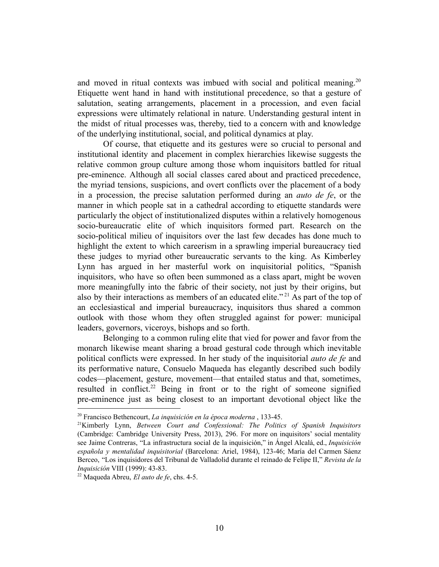and moved in ritual contexts was imbued with social and political meaning.<sup>20</sup> Etiquette went hand in hand with institutional precedence, so that a gesture of salutation, seating arrangements, placement in a procession, and even facial expressions were ultimately relational in nature. Understanding gestural intent in the midst of ritual processes was, thereby, tied to a concern with and knowledge of the underlying institutional, social, and political dynamics at play.

Of course, that etiquette and its gestures were so crucial to personal and institutional identity and placement in complex hierarchies likewise suggests the relative common group culture among those whom inquisitors battled for ritual pre-eminence. Although all social classes cared about and practiced precedence, the myriad tensions, suspicions, and overt conflicts over the placement of a body in a procession, the precise salutation performed during an *auto de fe*, or the manner in which people sat in a cathedral according to etiquette standards were particularly the object of institutionalized disputes within a relatively homogenous socio-bureaucratic elite of which inquisitors formed part. Research on the socio-political milieu of inquisitors over the last few decades has done much to highlight the extent to which careerism in a sprawling imperial bureaucracy tied these judges to myriad other bureaucratic servants to the king. As Kimberley Lynn has argued in her masterful work on inquisitorial politics, "Spanish inquisitors, who have so often been summoned as a class apart, might be woven more meaningfully into the fabric of their society, not just by their origins, but also by their interactions as members of an educated elite."<sup>21</sup> As part of the top of an ecclesiastical and imperial bureaucracy, inquisitors thus shared a common outlook with those whom they often struggled against for power: municipal leaders, governors, viceroys, bishops and so forth.

Belonging to a common ruling elite that vied for power and favor from the monarch likewise meant sharing a broad gestural code through which inevitable political conflicts were expressed. In her study of the inquisitorial *auto de fe* and its performative nature, Consuelo Maqueda has elegantly described such bodily codes—placement, gesture, movement—that entailed status and that, sometimes, resulted in conflict.<sup>22</sup> Being in front or to the right of someone signified pre-eminence just as being closest to an important devotional object like the

<sup>20</sup> Francisco Bethencourt, *La inquisición en la época moderna* , 133-45.

<sup>21</sup>Kimberly Lynn, *Between Court and Confessional: The Politics of Spanish Inquisitors* (Cambridge: Cambridge University Press, 2013), 296. For more on inquisitors' social mentality see Jaime Contreras, "La infrastructura social de la inquisición," in Ángel Alcalá, ed., *Inquisición española y mentalidad inquisitorial* (Barcelona: Ariel, 1984), 123-46; María del Carmen Sáenz Berceo, "Los inquisidores del Tribunal de Valladolid durante el reinado de Felipe II," *Revista de la Inquisición* VIII (1999): 43-83.

<sup>22</sup> Maqueda Abreu, *El auto de fe*, chs. 4-5.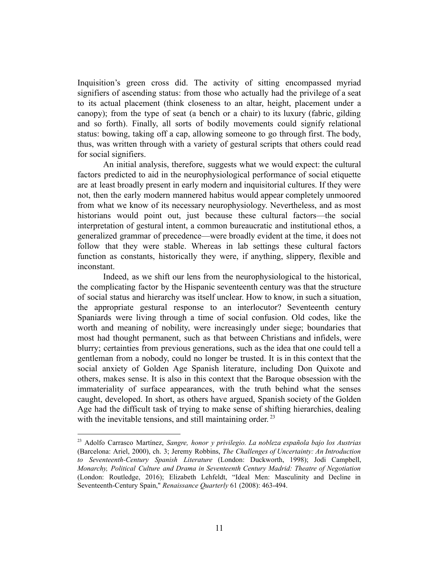Inquisition's green cross did. The activity of sitting encompassed myriad signifiers of ascending status: from those who actually had the privilege of a seat to its actual placement (think closeness to an altar, height, placement under a canopy); from the type of seat (a bench or a chair) to its luxury (fabric, gilding and so forth). Finally, all sorts of bodily movements could signify relational status: bowing, taking off a cap, allowing someone to go through first. The body, thus, was written through with a variety of gestural scripts that others could read for social signifiers.

An initial analysis, therefore, suggests what we would expect: the cultural factors predicted to aid in the neurophysiological performance of social etiquette are at least broadly present in early modern and inquisitorial cultures. If they were not, then the early modern mannered habitus would appear completely unmoored from what we know of its necessary neurophysiology. Nevertheless, and as most historians would point out, just because these cultural factors—the social interpretation of gestural intent, a common bureaucratic and institutional ethos, a generalized grammar of precedence—were broadly evident at the time, it does not follow that they were stable. Whereas in lab settings these cultural factors function as constants, historically they were, if anything, slippery, flexible and inconstant.

Indeed, as we shift our lens from the neurophysiological to the historical, the complicating factor by the Hispanic seventeenth century was that the structure of social status and hierarchy was itself unclear. How to know, in such a situation, the appropriate gestural response to an interlocutor? Seventeenth century Spaniards were living through a time of social confusion. Old codes, like the worth and meaning of nobility, were increasingly under siege; boundaries that most had thought permanent, such as that between Christians and infidels, were blurry; certainties from previous generations, such as the idea that one could tell a gentleman from a nobody, could no longer be trusted. It is in this context that the social anxiety of Golden Age Spanish literature, including Don Quixote and others, makes sense. It is also in this context that the Baroque obsession with the immateriality of surface appearances, with the truth behind what the senses caught, developed. In short, as others have argued, Spanish society of the Golden Age had the difficult task of trying to make sense of shifting hierarchies, dealing with the inevitable tensions, and still maintaining order.<sup>23</sup>

<sup>23</sup> Adolfo Carrasco Martínez, *Sangre, honor y privilegio. La nobleza española bajo los Austrias* (Barcelona: Ariel, 2000), ch. 3; Jeremy Robbins, *The Challenges of Uncertainty: An Introduction to Seventeenth-Century Spanish Literature* (London: Duckworth, 1998); Jodi Campbell, *Monarchy, Political Culture and Drama in Seventeenth Century Madrid: Theatre of Negotiation* (London: Routledge, 2016); Elizabeth Lehfeldt, "Ideal Men: Masculinity and Decline in Seventeenth-Century Spain," *Renaissance Quarterly* 61 (2008): 463-494.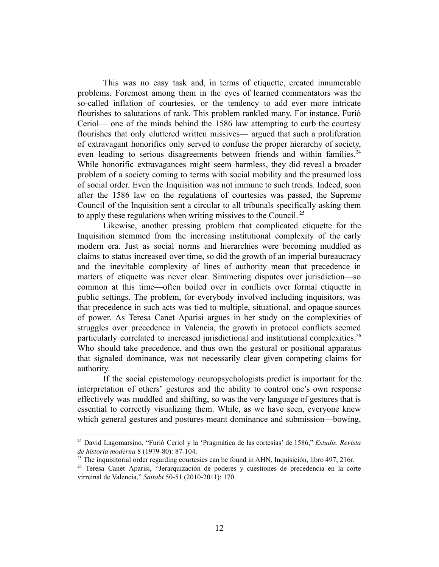This was no easy task and, in terms of etiquette, created innumerable problems. Foremost among them in the eyes of learned commentators was the so-called inflation of courtesies, or the tendency to add ever more intricate flourishes to salutations of rank. This problem rankled many. For instance, Furió Ceriol— one of the minds behind the 1586 law attempting to curb the courtesy flourishes that only cluttered written missives— argued that such a proliferation of extravagant honorifics only served to confuse the proper hierarchy of society, even leading to serious disagreements between friends and within families.<sup>24</sup> While honorific extravagances might seem harmless, they did reveal a broader problem of a society coming to terms with social mobility and the presumed loss of social order. Even the Inquisition was not immune to such trends. Indeed, soon after the 1586 law on the regulations of courtesies was passed, the Supreme Council of the Inquisition sent a circular to all tribunals specifically asking them to apply these regulations when writing missives to the Council.<sup>25</sup>

Likewise, another pressing problem that complicated etiquette for the Inquisition stemmed from the increasing institutional complexity of the early modern era. Just as social norms and hierarchies were becoming muddled as claims to status increased over time, so did the growth of an imperial bureaucracy and the inevitable complexity of lines of authority mean that precedence in matters of etiquette was never clear. Simmering disputes over jurisdiction—so common at this time—often boiled over in conflicts over formal etiquette in public settings. The problem, for everybody involved including inquisitors, was that precedence in such acts was tied to multiple, situational, and opaque sources of power. As Teresa Canet Aparisi argues in her study on the complexities of struggles over precedence in Valencia, the growth in protocol conflicts seemed particularly correlated to increased jurisdictional and institutional complexities.<sup>26</sup> Who should take precedence, and thus own the gestural or positional apparatus that signaled dominance, was not necessarily clear given competing claims for authority.

If the social epistemology neuropsychologists predict is important for the interpretation of others' gestures and the ability to control one's own response effectively was muddled and shifting, so was the very language of gestures that is essential to correctly visualizing them. While, as we have seen, everyone knew which general gestures and postures meant dominance and submission—bowing,

<sup>24</sup> David Lagomarsino, "Furió Ceriol y la 'Pragmática de las cortesías' de 1586," *Estudis. Revista de historia moderna* 8 (1979-80): 87-104.

<sup>&</sup>lt;sup>25</sup> The inquisitorial order regarding courtesies can be found in AHN, Inquisición, libro 497, 216r.

<sup>26</sup> Teresa Canet Aparisi, "Jerarquización de poderes y cuestiones de precedencia en la corte virreinal de Valencia," *Saitabi* 50-51 (2010-2011): 170.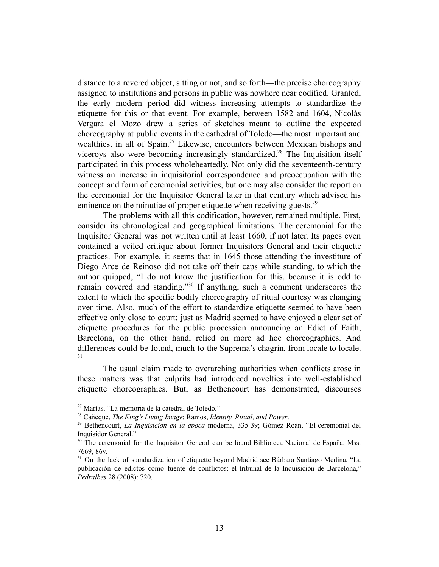distance to a revered object, sitting or not, and so forth—the precise choreography assigned to institutions and persons in public was nowhere near codified. Granted, the early modern period did witness increasing attempts to standardize the etiquette for this or that event. For example, between 1582 and 1604, Nicolás Vergara el Mozo drew a series of sketches meant to outline the expected choreography at public events in the cathedral of Toledo—the most important and wealthiest in all of Spain.<sup>27</sup> Likewise, encounters between Mexican bishops and viceroys also were becoming increasingly standardized.<sup>28</sup> The Inquisition itself participated in this process wholeheartedly. Not only did the seventeenth-century witness an increase in inquisitorial correspondence and preoccupation with the concept and form of ceremonial activities, but one may also consider the report on the ceremonial for the Inquisitor General later in that century which advised his eminence on the minutiae of proper etiquette when receiving guests.<sup>29</sup>

The problems with all this codification, however, remained multiple. First, consider its chronological and geographical limitations. The ceremonial for the Inquisitor General was not written until at least 1660, if not later. Its pages even contained a veiled critique about former Inquisitors General and their etiquette practices. For example, it seems that in 1645 those attending the investiture of Diego Arce de Reinoso did not take off their caps while standing, to which the author quipped, "I do not know the justification for this, because it is odd to remain covered and standing."<sup>30</sup> If anything, such a comment underscores the extent to which the specific bodily choreography of ritual courtesy was changing over time. Also, much of the effort to standardize etiquette seemed to have been effective only close to court: just as Madrid seemed to have enjoyed a clear set of etiquette procedures for the public procession announcing an Edict of Faith, Barcelona, on the other hand, relied on more ad hoc choreographies. And differences could be found, much to the Suprema's chagrin, from locale to locale. 31

The usual claim made to overarching authorities when conflicts arose in these matters was that culprits had introduced novelties into well-established etiquette choreographies. But, as Bethencourt has demonstrated, discourses

<sup>27</sup> Marías, "La memoria de la catedral de Toledo."

<sup>28</sup> Cañeque, *The King's Living Image*; Ramos, *Identity, Ritual, and Power*.

<sup>29</sup> Bethencourt, *La Inquisición en la época* moderna, 335-39; Gómez Roán, "El ceremonial del Inquisidor General."

<sup>&</sup>lt;sup>30</sup> The ceremonial for the Inquisitor General can be found Biblioteca Nacional de España, Mss. 7669, 86v.

<sup>&</sup>lt;sup>31</sup> On the lack of standardization of etiquette beyond Madrid see Bárbara Santiago Medina, "La publicación de edictos como fuente de conflictos: el tribunal de la Inquisición de Barcelona," *Pedralbes* 28 (2008): 720.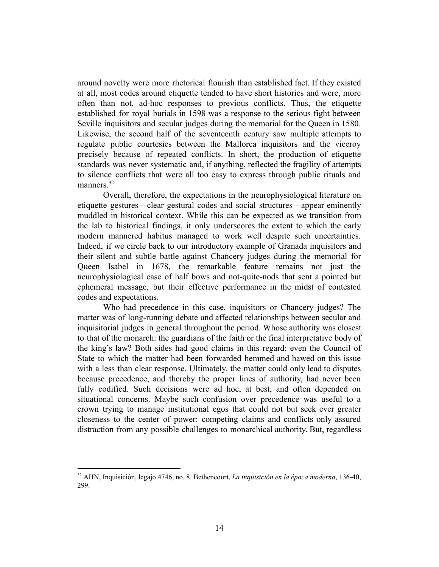around novelty were more rhetorical flourish than established fact. If they existed at all, most codes around etiquette tended to have short histories and were, more often than not, ad-hoc responses to previous conflicts. Thus, the etiquette established for royal burials in 1598 was a response to the serious fight between Seville inquisitors and secular judges during the memorial for the Queen in 1580. Likewise, the second half of the seventeenth century saw multiple attempts to regulate public courtesies between the Mallorca inquisitors and the viceroy precisely because of repeated conflicts. In short, the production of etiquette standards was never systematic and, if anything, reflected the fragility of attempts to silence conflicts that were all too easy to express through public rituals and manners.<sup>32</sup>

Overall, therefore, the expectations in the neurophysiological literature on etiquette gestures—clear gestural codes and social structures—appear eminently muddled in historical context. While this can be expected as we transition from the lab to historical findings, it only underscores the extent to which the early modern mannered habitus managed to work well despite such uncertainties. Indeed, if we circle back to our introductory example of Granada inquisitors and their silent and subtle battle against Chancery judges during the memorial for Queen Isabel in 1678, the remarkable feature remains not just the neurophysiological ease of half bows and not-quite-nods that sent a pointed but ephemeral message, but their effective performance in the midst of contested codes and expectations.

Who had precedence in this case, inquisitors or Chancery judges? The matter was of long-running debate and affected relationships between secular and inquisitorial judges in general throughout the period. Whose authority was closest to that of the monarch: the guardians of the faith or the final interpretative body of the king's law? Both sides had good claims in this regard: even the Council of State to which the matter had been forwarded hemmed and hawed on this issue with a less than clear response. Ultimately, the matter could only lead to disputes because precedence, and thereby the proper lines of authority, had never been fully codified. Such decisions were ad hoc, at best, and often depended on situational concerns. Maybe such confusion over precedence was useful to a crown trying to manage institutional egos that could not but seek ever greater closeness to the center of power: competing claims and conflicts only assured distraction from any possible challenges to monarchical authority. But, regardless

<sup>32</sup> AHN, Inquisición, legajo 4746, no. 8. Bethencourt, *La inquisición en la época moderna*, 136-40, 299.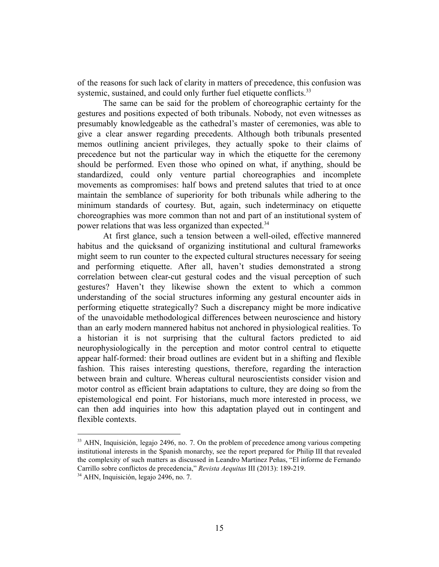of the reasons for such lack of clarity in matters of precedence, this confusion was systemic, sustained, and could only further fuel etiquette conflicts.<sup>33</sup>

The same can be said for the problem of choreographic certainty for the gestures and positions expected of both tribunals. Nobody, not even witnesses as presumably knowledgeable as the cathedral's master of ceremonies, was able to give a clear answer regarding precedents. Although both tribunals presented memos outlining ancient privileges, they actually spoke to their claims of precedence but not the particular way in which the etiquette for the ceremony should be performed. Even those who opined on what, if anything, should be standardized, could only venture partial choreographies and incomplete movements as compromises: half bows and pretend salutes that tried to at once maintain the semblance of superiority for both tribunals while adhering to the minimum standards of courtesy. But, again, such indeterminacy on etiquette choreographies was more common than not and part of an institutional system of power relations that was less organized than expected.<sup>34</sup>

At first glance, such a tension between a well-oiled, effective mannered habitus and the quicksand of organizing institutional and cultural frameworks might seem to run counter to the expected cultural structures necessary for seeing and performing etiquette. After all, haven't studies demonstrated a strong correlation between clear-cut gestural codes and the visual perception of such gestures? Haven't they likewise shown the extent to which a common understanding of the social structures informing any gestural encounter aids in performing etiquette strategically? Such a discrepancy might be more indicative of the unavoidable methodological differences between neuroscience and history than an early modern mannered habitus not anchored in physiological realities. To a historian it is not surprising that the cultural factors predicted to aid neurophysiologically in the perception and motor control central to etiquette appear half-formed: their broad outlines are evident but in a shifting and flexible fashion. This raises interesting questions, therefore, regarding the interaction between brain and culture. Whereas cultural neuroscientists consider vision and motor control as efficient brain adaptations to culture, they are doing so from the epistemological end point. For historians, much more interested in process, we can then add inquiries into how this adaptation played out in contingent and flexible contexts.

<sup>&</sup>lt;sup>33</sup> AHN, Inquisición, legajo 2496, no. 7. On the problem of precedence among various competing institutional interests in the Spanish monarchy, see the report prepared for Philip III that revealed the complexity of such matters as discussed in Leandro Martínez Peñas, "El informe de Fernando Carrillo sobre conflictos de precedencia," *Revista Aequitas* III (2013): 189-219.

<sup>34</sup> AHN, Inquisición, legajo 2496, no. 7.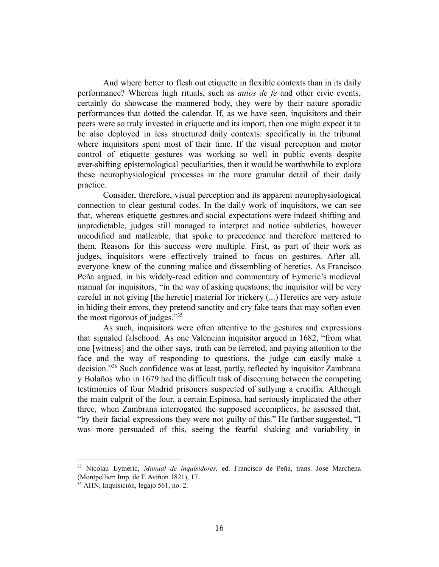And where better to flesh out etiquette in flexible contexts than in its daily performance? Whereas high rituals, such as *autos de fe* and other civic events, certainly do showcase the mannered body, they were by their nature sporadic performances that dotted the calendar. If, as we have seen, inquisitors and their peers were so truly invested in etiquette and its import, then one might expect it to be also deployed in less structured daily contexts: specifically in the tribunal where inquisitors spent most of their time. If the visual perception and motor control of etiquette gestures was working so well in public events despite ever-shifting epistemological peculiarities, then it would be worthwhile to explore these neurophysiological processes in the more granular detail of their daily practice.

Consider, therefore, visual perception and its apparent neurophysiological connection to clear gestural codes. In the daily work of inquisitors, we can see that, whereas etiquette gestures and social expectations were indeed shifting and unpredictable, judges still managed to interpret and notice subtleties, however uncodified and malleable, that spoke to precedence and therefore mattered to them. Reasons for this success were multiple. First, as part of their work as judges, inquisitors were effectively trained to focus on gestures. After all, everyone knew of the cunning malice and dissembling of heretics. As Francisco Peña argued, in his widely-read edition and commentary of Eymeric's medieval manual for inquisitors, "in the way of asking questions, the inquisitor will be very careful in not giving [the heretic] material for trickery (...) Heretics are very astute in hiding their errors, they pretend sanctity and cry fake tears that may soften even the most rigorous of judges."<sup>35</sup>

As such, inquisitors were often attentive to the gestures and expressions that signaled falsehood. As one Valencian inquisitor argued in 1682, "from what one [witness] and the other says, truth can be ferreted, and paying attention to the face and the way of responding to questions, the judge can easily make a decision."<sup>36</sup> Such confidence was at least, partly, reflected by inquisitor Zambrana y Bolaños who in 1679 had the difficult task of discerning between the competing testimonies of four Madrid prisoners suspected of sullying a crucifix. Although the main culprit of the four, a certain Espinosa, had seriously implicated the other three, when Zambrana interrogated the supposed accomplices, he assessed that, "by their facial expressions they were not guilty of this." He further suggested, "I was more persuaded of this, seeing the fearful shaking and variability in

<sup>35</sup> Nicolau Eymeric, *Manual de inquisidores,* ed. Francisco de Peña, trans. José Marchena (Montpellier: Imp. de F. Aviñon 1821), 17.

<sup>36</sup> AHN, Inquisición, legajo 561, no. 2.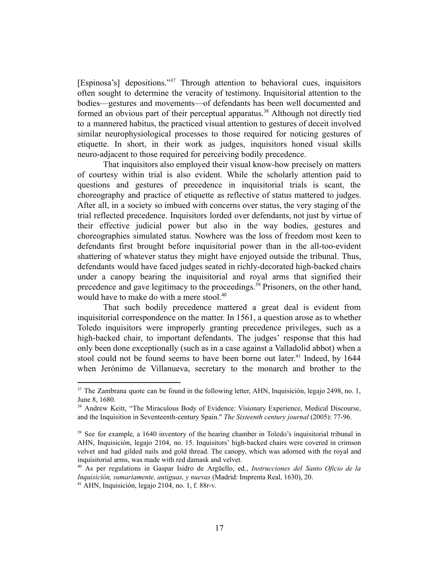[Espinosa's] depositions."<sup>37</sup> Through attention to behavioral cues, inquisitors often sought to determine the veracity of testimony. Inquisitorial attention to the bodies—gestures and movements—of defendants has been well documented and formed an obvious part of their perceptual apparatus.<sup>38</sup> Although not directly tied to a mannered habitus, the practiced visual attention to gestures of deceit involved similar neurophysiological processes to those required for noticing gestures of etiquette. In short, in their work as judges, inquisitors honed visual skills neuro-adjacent to those required for perceiving bodily precedence.

That inquisitors also employed their visual know-how precisely on matters of courtesy within trial is also evident. While the scholarly attention paid to questions and gestures of precedence in inquisitorial trials is scant, the choreography and practice of etiquette as reflective of status mattered to judges. After all, in a society so imbued with concerns over status, the very staging of the trial reflected precedence. Inquisitors lorded over defendants, not just by virtue of their effective judicial power but also in the way bodies, gestures and choreographies simulated status. Nowhere was the loss of freedom most keen to defendants first brought before inquisitorial power than in the all-too-evident shattering of whatever status they might have enjoyed outside the tribunal. Thus, defendants would have faced judges seated in richly-decorated high-backed chairs under a canopy bearing the inquisitorial and royal arms that signified their precedence and gave legitimacy to the proceedings.<sup>39</sup> Prisoners, on the other hand, would have to make do with a mere stool.<sup>40</sup>

That such bodily precedence mattered a great deal is evident from inquisitorial correspondence on the matter. In 1561, a question arose as to whether Toledo inquisitors were improperly granting precedence privileges, such as a high-backed chair, to important defendants. The judges' response that this had only been done exceptionally (such as in a case against a Valladolid abbot) when a stool could not be found seems to have been borne out later.<sup>41</sup> Indeed, by 1644 when Jerónimo de Villanueva, secretary to the monarch and brother to the

<sup>&</sup>lt;sup>37</sup> The Zambrana quote can be found in the following letter, AHN, Inquisición, legajo 2498, no. 1, June 8, 1680.

<sup>&</sup>lt;sup>38</sup> Andrew Keitt, "The Miraculous Body of Evidence: Visionary Experience, Medical Discourse, and the Inquisition in Seventeenth-century Spain." *The Sixteenth century journal* (2005): 77-96.

<sup>&</sup>lt;sup>39</sup> See for example, a 1640 inventory of the hearing chamber in Toledo's inquisitorial tribunal in AHN, Inquisición, legajo 2104, no. 15. Inquisitors' high-backed chairs were covered in crimson velvet and had gilded nails and gold thread. The canopy, which was adorned with the royal and inquisitorial arms, was made with red damask and velvet.

<sup>40</sup> As per regulations in Gaspar Isidro de Argüello, ed., *Instrucciones del Santo Oficio de la Inquisición, sumariamente, antiguas, y nuevas* (Madrid: Imprenta Real, 1630), 20.

 $41$  AHN, Inquisición, legajo 2104, no. 1, f. 88r-v.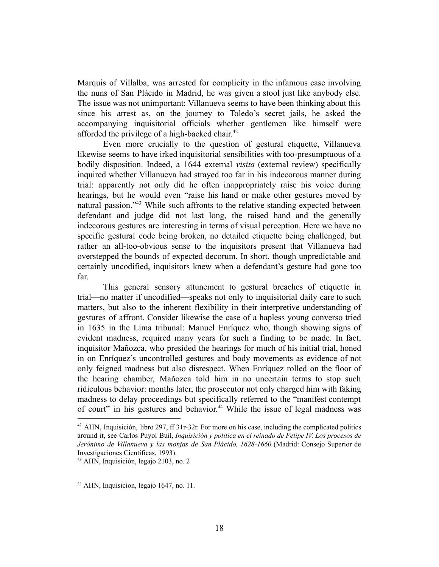Marquis of Villalba, was arrested for complicity in the infamous case involving the nuns of San Plácido in Madrid, he was given a stool just like anybody else. The issue was not unimportant: Villanueva seems to have been thinking about this since his arrest as, on the journey to Toledo's secret jails, he asked the accompanying inquisitorial officials whether gentlemen like himself were afforded the privilege of a high-backed chair.<sup>42</sup>

Even more crucially to the question of gestural etiquette, Villanueva likewise seems to have irked inquisitorial sensibilities with too-presumptuous of a bodily disposition. Indeed, a 1644 external *visita* (external review) specifically inquired whether Villanueva had strayed too far in his indecorous manner during trial: apparently not only did he often inappropriately raise his voice during hearings, but he would even "raise his hand or make other gestures moved by natural passion."<sup>43</sup> While such affronts to the relative standing expected between defendant and judge did not last long, the raised hand and the generally indecorous gestures are interesting in terms of visual perception. Here we have no specific gestural code being broken, no detailed etiquette being challenged, but rather an all-too-obvious sense to the inquisitors present that Villanueva had overstepped the bounds of expected decorum. In short, though unpredictable and certainly uncodified, inquisitors knew when a defendant's gesture had gone too far.

This general sensory attunement to gestural breaches of etiquette in trial—no matter if uncodified—speaks not only to inquisitorial daily care to such matters, but also to the inherent flexibility in their interpretive understanding of gestures of affront. Consider likewise the case of a hapless young converso tried in 1635 in the Lima tribunal: Manuel Enríquez who, though showing signs of evident madness, required many years for such a finding to be made. In fact, inquisitor Mañozca, who presided the hearings for much of his initial trial, honed in on Enríquez's uncontrolled gestures and body movements as evidence of not only feigned madness but also disrespect. When Enríquez rolled on the floor of the hearing chamber, Mañozca told him in no uncertain terms to stop such ridiculous behavior: months later, the prosecutor not only charged him with faking madness to delay proceedings but specifically referred to the "manifest contempt of court" in his gestures and behavior.<sup>44</sup> While the issue of legal madness was

 $42$  AHN, Inquisición, libro 297, ff 31r-32r. For more on his case, including the complicated politics around it, see Carlos Puyol Buil, *Inquisición y política en el reinado de Felipe IV. Los procesos de Jerónimo de Villanueva y las monjas de San Plácido, 1628-1660* (Madrid: Consejo Superior de Investigaciones Científicas, 1993).

<sup>43</sup> AHN, Inquisición, legajo 2103, no. 2

<sup>&</sup>lt;sup>44</sup> AHN, Inquisicion, legajo 1647, no. 11.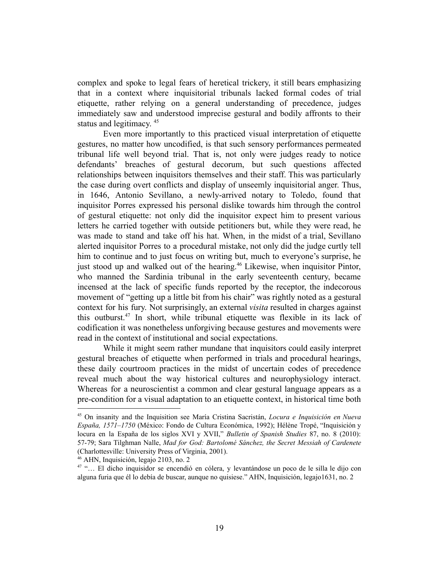complex and spoke to legal fears of heretical trickery, it still bears emphasizing that in a context where inquisitorial tribunals lacked formal codes of trial etiquette, rather relying on a general understanding of precedence, judges immediately saw and understood imprecise gestural and bodily affronts to their status and legitimacy.<sup>45</sup>

Even more importantly to this practiced visual interpretation of etiquette gestures, no matter how uncodified, is that such sensory performances permeated tribunal life well beyond trial. That is, not only were judges ready to notice defendants' breaches of gestural decorum, but such questions affected relationships between inquisitors themselves and their staff. This was particularly the case during overt conflicts and display of unseemly inquisitorial anger. Thus, in 1646, Antonio Sevillano, a newly-arrived notary to Toledo, found that inquisitor Porres expressed his personal dislike towards him through the control of gestural etiquette: not only did the inquisitor expect him to present various letters he carried together with outside petitioners but, while they were read, he was made to stand and take off his hat. When, in the midst of a trial, Sevillano alerted inquisitor Porres to a procedural mistake, not only did the judge curtly tell him to continue and to just focus on writing but, much to everyone's surprise, he just stood up and walked out of the hearing.<sup>46</sup> Likewise, when inquisitor Pintor, who manned the Sardinia tribunal in the early seventeenth century, became incensed at the lack of specific funds reported by the receptor, the indecorous movement of "getting up a little bit from his chair" was rightly noted as a gestural context for his fury. Not surprisingly, an external *visita* resulted in charges against this outburst.<sup>47</sup> In short, while tribunal etiquette was flexible in its lack of codification it was nonetheless unforgiving because gestures and movements were read in the context of institutional and social expectations.

While it might seem rather mundane that inquisitors could easily interpret gestural breaches of etiquette when performed in trials and procedural hearings, these daily courtroom practices in the midst of uncertain codes of precedence reveal much about the way historical cultures and neurophysiology interact. Whereas for a neuroscientist a common and clear gestural language appears as a pre-condition for a visual adaptation to an etiquette context, in historical time both

<sup>45</sup> On insanity and the Inquisition see María Cristina Sacristán, *Locura e Inquisición en Nueva España, 1571–1750* (México: Fondo de Cultura Económica, 1992); Hélène Tropé, "Inquisición y locura en la España de los siglos XVI y XVII," *Bulletin of Spanish Studies* 87, no. 8 (2010): 57-79; Sara Tilghman Nalle, *Mad for God: Bartolomé Sánchez, the Secret Messiah of Cardenete* (Charlottesville: University Press of Virginia, 2001).

<sup>46</sup> AHN, Inquisición, legajo 2103, no. 2

<sup>47</sup> "… El dicho inquisidor se encendió en cólera, y levantándose un poco de le silla le dijo con alguna furia que él lo debía de buscar, aunque no quisiese." AHN, Inquisición, legajo1631, no. 2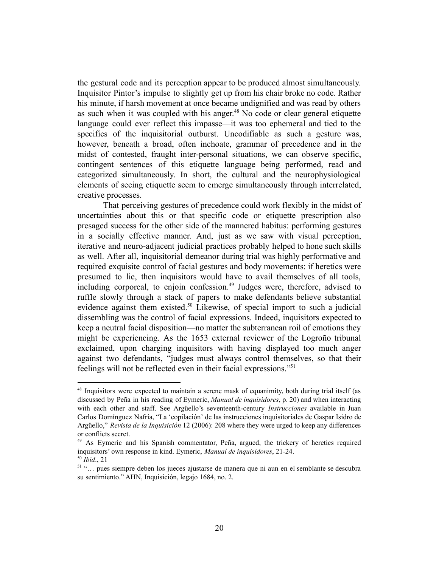the gestural code and its perception appear to be produced almost simultaneously. Inquisitor Pintor's impulse to slightly get up from his chair broke no code. Rather his minute, if harsh movement at once became undignified and was read by others as such when it was coupled with his anger.<sup>48</sup> No code or clear general etiquette language could ever reflect this impasse—it was too ephemeral and tied to the specifics of the inquisitorial outburst. Uncodifiable as such a gesture was, however, beneath a broad, often inchoate, grammar of precedence and in the midst of contested, fraught inter-personal situations, we can observe specific, contingent sentences of this etiquette language being performed, read and categorized simultaneously. In short, the cultural and the neurophysiological elements of seeing etiquette seem to emerge simultaneously through interrelated, creative processes.

That perceiving gestures of precedence could work flexibly in the midst of uncertainties about this or that specific code or etiquette prescription also presaged success for the other side of the mannered habitus: performing gestures in a socially effective manner. And, just as we saw with visual perception, iterative and neuro-adjacent judicial practices probably helped to hone such skills as well. After all, inquisitorial demeanor during trial was highly performative and required exquisite control of facial gestures and body movements: if heretics were presumed to lie, then inquisitors would have to avail themselves of all tools, including corporeal, to enjoin confession.<sup>49</sup> Judges were, therefore, advised to ruffle slowly through a stack of papers to make defendants believe substantial evidence against them existed.<sup>50</sup> Likewise, of special import to such a judicial dissembling was the control of facial expressions. Indeed, inquisitors expected to keep a neutral facial disposition—no matter the subterranean roil of emotions they might be experiencing. As the 1653 external reviewer of the Logroño tribunal exclaimed, upon charging inquisitors with having displayed too much anger against two defendants, "judges must always control themselves, so that their feelings will not be reflected even in their facial expressions."<sup>51</sup>

<sup>&</sup>lt;sup>48</sup> Inquisitors were expected to maintain a serene mask of equanimity, both during trial itself (as discussed by Peña in his reading of Eymeric, *Manual de inquisidores*, p. 20) and when interacting with each other and staff. See Argüello's seventeenth-century *Instrucciones* available in Juan Carlos Domínguez Nafría, "La 'copilación' de las instrucciones inquisitoriales de Gaspar Isidro de Argüello," *Revista de la Inquisición* 12 (2006): 208 where they were urged to keep any differences or conflicts secret.

<sup>50</sup> *Ibid*., 21 <sup>49</sup> As Eymeric and his Spanish commentator, Peña, argued, the trickery of heretics required inquisitors' own response in kind. Eymeric, *Manual de inquisidores*, 21-24.

<sup>51</sup> "… pues siempre deben los jueces ajustarse de manera que ni aun en el semblante se descubra su sentimiento." AHN, Inquisición, legajo 1684, no. 2.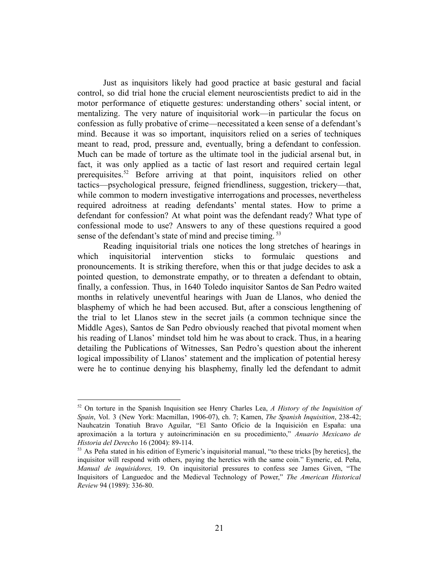Just as inquisitors likely had good practice at basic gestural and facial control, so did trial hone the crucial element neuroscientists predict to aid in the motor performance of etiquette gestures: understanding others' social intent, or mentalizing. The very nature of inquisitorial work—in particular the focus on confession as fully probative of crime—necessitated a keen sense of a defendant's mind. Because it was so important, inquisitors relied on a series of techniques meant to read, prod, pressure and, eventually, bring a defendant to confession. Much can be made of torture as the ultimate tool in the judicial arsenal but, in fact, it was only applied as a tactic of last resort and required certain legal prerequisites.<sup>52</sup> Before arriving at that point, inquisitors relied on other tactics—psychological pressure, feigned friendliness, suggestion, trickery—that, while common to modern investigative interrogations and processes, nevertheless required adroitness at reading defendants' mental states. How to prime a defendant for confession? At what point was the defendant ready? What type of confessional mode to use? Answers to any of these questions required a good sense of the defendant's state of mind and precise timing.<sup>53</sup>

Reading inquisitorial trials one notices the long stretches of hearings in which inquisitorial intervention sticks to formulaic questions and pronouncements. It is striking therefore, when this or that judge decides to ask a pointed question, to demonstrate empathy, or to threaten a defendant to obtain, finally, a confession. Thus, in 1640 Toledo inquisitor Santos de San Pedro waited months in relatively uneventful hearings with Juan de Llanos, who denied the blasphemy of which he had been accused. But, after a conscious lengthening of the trial to let Llanos stew in the secret jails (a common technique since the Middle Ages), Santos de San Pedro obviously reached that pivotal moment when his reading of Llanos' mindset told him he was about to crack. Thus, in a hearing detailing the Publications of Witnesses, San Pedro's question about the inherent logical impossibility of Llanos' statement and the implication of potential heresy were he to continue denying his blasphemy, finally led the defendant to admit

<sup>52</sup> On torture in the Spanish Inquisition see Henry Charles Lea, *A History of the Inquisition of Spain*, Vol. 3 (New York: Macmillan, 1906-07), ch. 7; Kamen, *The Spanish Inquisition*, 238-42; Nauhcatzin Tonatiuh Bravo Aguilar, "El Santo Oficio de la Inquisición en España: una aproximación a la tortura y autoincriminación en su procedimiento," *Anuario Mexicano de Historia del Derecho* 16 (2004): 89-114.

 $53$  As Peña stated in his edition of Eymeric's inquisitorial manual, "to these tricks [by heretics], the inquisitor will respond with others, paying the heretics with the same coin." Eymeric, ed. Peña, *Manual de inquisidores,* 19. On inquisitorial pressures to confess see James Given, "The Inquisitors of Languedoc and the Medieval Technology of Power," *The American Historical Review* 94 (1989): 336-80.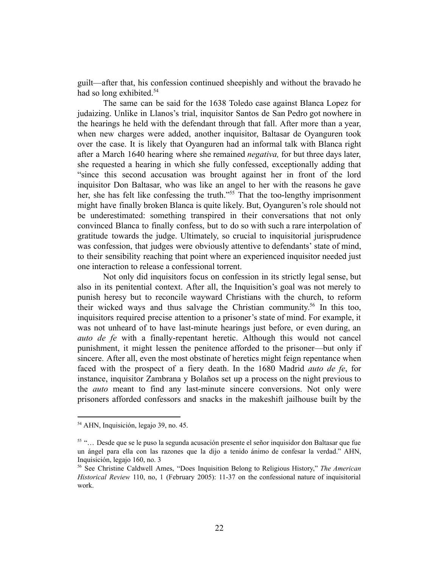guilt—after that, his confession continued sheepishly and without the bravado he had so long exhibited.<sup>54</sup>

The same can be said for the 1638 Toledo case against Blanca Lopez for judaizing. Unlike in Llanos's trial, inquisitor Santos de San Pedro got nowhere in the hearings he held with the defendant through that fall. After more than a year, when new charges were added, another inquisitor, Baltasar de Oyanguren took over the case. It is likely that Oyanguren had an informal talk with Blanca right after a March 1640 hearing where she remained *negativa,* for but three days later, she requested a hearing in which she fully confessed, exceptionally adding that "since this second accusation was brought against her in front of the lord inquisitor Don Baltasar, who was like an angel to her with the reasons he gave her, she has felt like confessing the truth."<sup>55</sup> That the too-lengthy imprisonment might have finally broken Blanca is quite likely. But, Oyanguren's role should not be underestimated: something transpired in their conversations that not only convinced Blanca to finally confess, but to do so with such a rare interpolation of gratitude towards the judge. Ultimately, so crucial to inquisitorial jurisprudence was confession, that judges were obviously attentive to defendants' state of mind, to their sensibility reaching that point where an experienced inquisitor needed just one interaction to release a confessional torrent.

Not only did inquisitors focus on confession in its strictly legal sense, but also in its penitential context. After all, the Inquisition's goal was not merely to punish heresy but to reconcile wayward Christians with the church, to reform their wicked ways and thus salvage the Christian community.<sup>56</sup> In this too, inquisitors required precise attention to a prisoner's state of mind. For example, it was not unheard of to have last-minute hearings just before, or even during, an *auto de fe* with a finally-repentant heretic. Although this would not cancel punishment, it might lessen the penitence afforded to the prisoner—but only if sincere. After all, even the most obstinate of heretics might feign repentance when faced with the prospect of a fiery death. In the 1680 Madrid *auto de fe*, for instance, inquisitor Zambrana y Bolaños set up a process on the night previous to the *auto* meant to find any last-minute sincere conversions. Not only were prisoners afforded confessors and snacks in the makeshift jailhouse built by the

<sup>54</sup> AHN, Inquisición, legajo 39, no. 45.

<sup>55</sup> "… Desde que se le puso la segunda acusación presente el señor inquisidor don Baltasar que fue un ángel para ella con las razones que la dijo a tenido ánimo de confesar la verdad." AHN, Inquisición, legajo 160, no. 3

<sup>56</sup> See Christine Caldwell Ames, "Does Inquisition Belong to Religious History," *The American Historical Review* 110, no, 1 (February 2005): 11-37 on the confessional nature of inquisitorial work.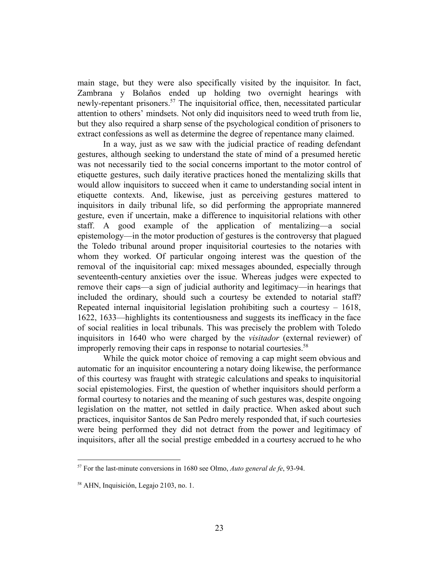main stage, but they were also specifically visited by the inquisitor. In fact, Zambrana y Bolaños ended up holding two overnight hearings with newly-repentant prisoners.<sup>57</sup> The inquisitorial office, then, necessitated particular attention to others' mindsets. Not only did inquisitors need to weed truth from lie, but they also required a sharp sense of the psychological condition of prisoners to extract confessions as well as determine the degree of repentance many claimed.

In a way, just as we saw with the judicial practice of reading defendant gestures, although seeking to understand the state of mind of a presumed heretic was not necessarily tied to the social concerns important to the motor control of etiquette gestures, such daily iterative practices honed the mentalizing skills that would allow inquisitors to succeed when it came to understanding social intent in etiquette contexts. And, likewise, just as perceiving gestures mattered to inquisitors in daily tribunal life, so did performing the appropriate mannered gesture, even if uncertain, make a difference to inquisitorial relations with other staff. A good example of the application of mentalizing—a social epistemology—in the motor production of gestures is the controversy that plagued the Toledo tribunal around proper inquisitorial courtesies to the notaries with whom they worked. Of particular ongoing interest was the question of the removal of the inquisitorial cap: mixed messages abounded, especially through seventeenth-century anxieties over the issue. Whereas judges were expected to remove their caps—a sign of judicial authority and legitimacy—in hearings that included the ordinary, should such a courtesy be extended to notarial staff? Repeated internal inquisitorial legislation prohibiting such a courtesy – 1618, 1622, 1633—highlights its contentiousness and suggests its inefficacy in the face of social realities in local tribunals. This was precisely the problem with Toledo inquisitors in 1640 who were charged by the *visitador* (external reviewer) of improperly removing their caps in response to notarial courtesies.<sup>58</sup>

While the quick motor choice of removing a cap might seem obvious and automatic for an inquisitor encountering a notary doing likewise, the performance of this courtesy was fraught with strategic calculations and speaks to inquisitorial social epistemologies. First, the question of whether inquisitors should perform a formal courtesy to notaries and the meaning of such gestures was, despite ongoing legislation on the matter, not settled in daily practice. When asked about such practices, inquisitor Santos de San Pedro merely responded that, if such courtesies were being performed they did not detract from the power and legitimacy of inquisitors, after all the social prestige embedded in a courtesy accrued to he who

<sup>57</sup> For the last-minute conversions in 1680 see Olmo, *Auto general de fe*, 93-94.

<sup>58</sup> AHN, Inquisición, Legajo 2103, no. 1.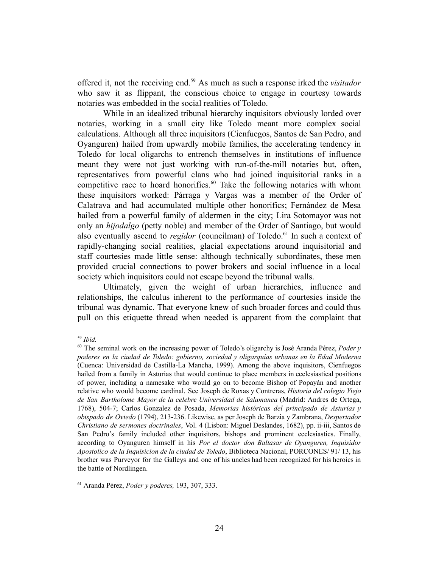offered it, not the receiving end.<sup>59</sup> As much as such a response irked the *visitador* who saw it as flippant, the conscious choice to engage in courtesy towards notaries was embedded in the social realities of Toledo.

While in an idealized tribunal hierarchy inquisitors obviously lorded over notaries, working in a small city like Toledo meant more complex social calculations. Although all three inquisitors (Cienfuegos, Santos de San Pedro, and Oyanguren) hailed from upwardly mobile families, the accelerating tendency in Toledo for local oligarchs to entrench themselves in institutions of influence meant they were not just working with run-of-the-mill notaries but, often, representatives from powerful clans who had joined inquisitorial ranks in a competitive race to hoard honorifics.<sup>60</sup> Take the following notaries with whom these inquisitors worked: Párraga y Vargas was a member of the Order of Calatrava and had accumulated multiple other honorifics; Fernández de Mesa hailed from a powerful family of aldermen in the city; Lira Sotomayor was not only an *hijodalgo* (petty noble) and member of the Order of Santiago, but would also eventually ascend to *regidor* (councilman) of Toledo.<sup>61</sup> In such a context of rapidly-changing social realities, glacial expectations around inquisitorial and staff courtesies made little sense: although technically subordinates, these men provided crucial connections to power brokers and social influence in a local society which inquisitors could not escape beyond the tribunal walls.

Ultimately, given the weight of urban hierarchies, influence and relationships, the calculus inherent to the performance of courtesies inside the tribunal was dynamic. That everyone knew of such broader forces and could thus pull on this etiquette thread when needed is apparent from the complaint that

<sup>59</sup> *Ibid.*

<sup>60</sup> The seminal work on the increasing power of Toledo's oligarchy is José Aranda Pérez, *Poder y poderes en la ciudad de Toledo: gobierno, sociedad y oligarquías urbanas en la Edad Moderna* (Cuenca: Universidad de Castilla-La Mancha, 1999). Among the above inquisitors, Cienfuegos hailed from a family in Asturias that would continue to place members in ecclesiastical positions of power, including a namesake who would go on to become Bishop of Popayán and another relative who would become cardinal. See Joseph de Roxas y Contreras, *Historia del colegio Viejo de San Bartholome Mayor de la celebre Universidad de Salamanca* (Madrid: Andres de Ortega, 1768), 504-7; Carlos Gonzalez de Posada, *Memorias históricas del principado de Asturias y obispado de Oviedo* (1794), 213-236. Likewise, as per Joseph de Barzia y Zambrana, *Despertador Christiano de sermones doctrinales*, Vol. 4 (Lisbon: Miguel Deslandes, 1682), pp. ii-iii, Santos de San Pedro's family included other inquisitors, bishops and prominent ecclesiastics. Finally, according to Oyanguren himself in his *Por el doctor don Baltasar de Oyanguren, Inquisidor Apostolico de la Inquisicion de la ciudad de Toledo*, Biblioteca Nacional, PORCONES/ 91/ 13, his brother was Purveyor for the Galleys and one of his uncles had been recognized for his heroics in the battle of Nordlingen.

<sup>61</sup> Aranda Pérez, *Poder y poderes,* 193, 307, 333.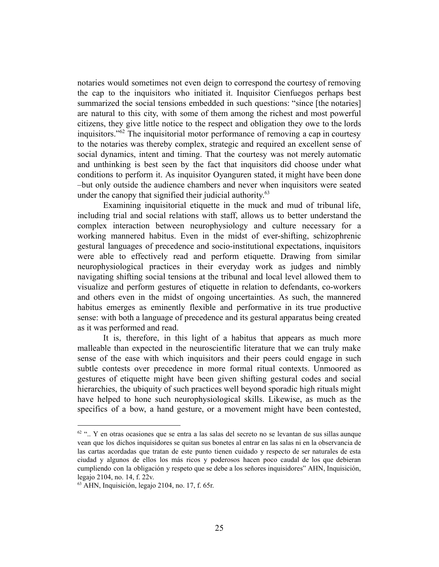notaries would sometimes not even deign to correspond the courtesy of removing the cap to the inquisitors who initiated it. Inquisitor Cienfuegos perhaps best summarized the social tensions embedded in such questions: "since [the notaries] are natural to this city, with some of them among the richest and most powerful citizens, they give little notice to the respect and obligation they owe to the lords inquisitors." $62$  The inquisitorial motor performance of removing a cap in courtesy to the notaries was thereby complex, strategic and required an excellent sense of social dynamics, intent and timing. That the courtesy was not merely automatic and unthinking is best seen by the fact that inquisitors did choose under what conditions to perform it. As inquisitor Oyanguren stated, it might have been done –but only outside the audience chambers and never when inquisitors were seated under the canopy that signified their judicial authority.<sup>63</sup>

Examining inquisitorial etiquette in the muck and mud of tribunal life, including trial and social relations with staff, allows us to better understand the complex interaction between neurophysiology and culture necessary for a working mannered habitus. Even in the midst of ever-shifting, schizophrenic gestural languages of precedence and socio-institutional expectations, inquisitors were able to effectively read and perform etiquette. Drawing from similar neurophysiological practices in their everyday work as judges and nimbly navigating shifting social tensions at the tribunal and local level allowed them to visualize and perform gestures of etiquette in relation to defendants, co-workers and others even in the midst of ongoing uncertainties. As such, the mannered habitus emerges as eminently flexible and performative in its true productive sense: with both a language of precedence and its gestural apparatus being created as it was performed and read.

It is, therefore, in this light of a habitus that appears as much more malleable than expected in the neuroscientific literature that we can truly make sense of the ease with which inquisitors and their peers could engage in such subtle contests over precedence in more formal ritual contexts. Unmoored as gestures of etiquette might have been given shifting gestural codes and social hierarchies, the ubiquity of such practices well beyond sporadic high rituals might have helped to hone such neurophysiological skills. Likewise, as much as the specifics of a bow, a hand gesture, or a movement might have been contested,

 $62$  ".. Y en otras ocasiones que se entra a las salas del secreto no se levantan de sus sillas aunque vean que los dichos inquisidores se quitan sus bonetes al entrar en las salas ni en la observancia de las cartas acordadas que tratan de este punto tienen cuidado y respecto de ser naturales de esta ciudad y algunos de ellos los más ricos y poderosos hacen poco caudal de los que debieran cumpliendo con la obligación y respeto que se debe a los señores inquisidores" AHN, Inquisición, legajo 2104, no. 14, f. 22v.

 $<sup>63</sup>$  AHN, Inquisición, legajo 2104, no. 17, f. 65r.</sup>